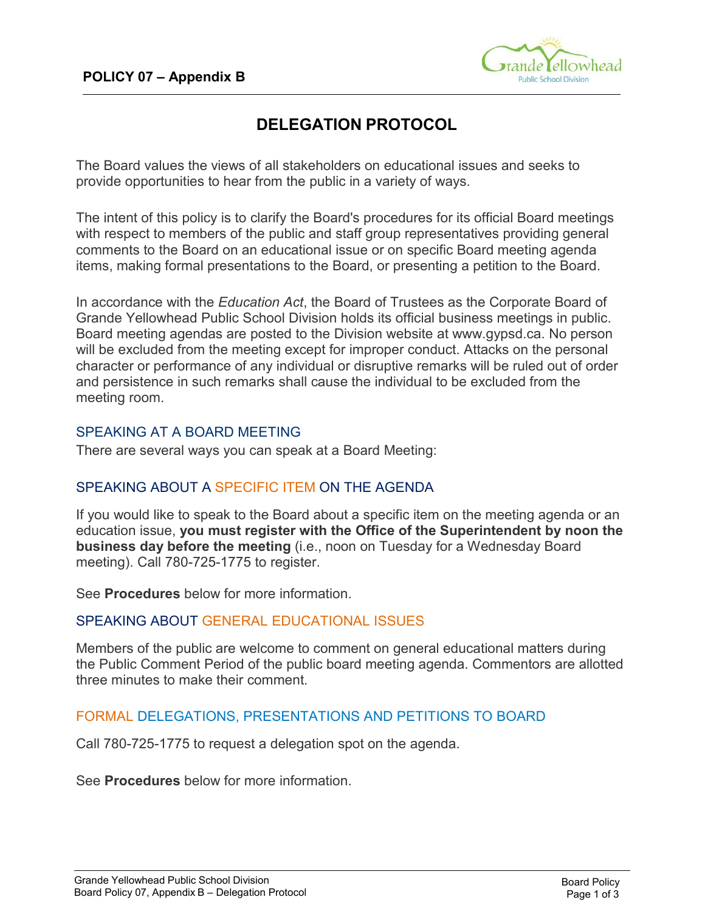

# **DELEGATION PROTOCOL**

The Board values the views of all stakeholders on educational issues and seeks to provide opportunities to hear from the public in a variety of ways.

The intent of this policy is to clarify the Board's procedures for its official Board meetings with respect to members of the public and staff group representatives providing general comments to the Board on an educational issue or on specific Board meeting agenda items, making formal presentations to the Board, or presenting a petition to the Board.

In accordance with the *Education Act*, the Board of Trustees as the Corporate Board of Grande Yellowhead Public School Division holds its official business meetings in public. Board meeting agendas are posted to the Division website at www.gypsd.ca. No person will be excluded from the meeting except for improper conduct. Attacks on the personal character or performance of any individual or disruptive remarks will be ruled out of order and persistence in such remarks shall cause the individual to be excluded from the meeting room.

### SPEAKING AT A BOARD MEETING

There are several ways you can speak at a Board Meeting:

## SPEAKING ABOUT A SPECIFIC ITEM ON THE AGENDA

If you would like to speak to the Board about a specific item on the meeting agenda or an education issue, **you must register with the Office of the Superintendent by noon the business day before the meeting** (i.e., noon on Tuesday for a Wednesday Board meeting). Call 780-725-1775 to register.

See **Procedures** below for more information.

### SPEAKING ABOUT GENERAL EDUCATIONAL ISSUES

Members of the public are welcome to comment on general educational matters during the Public Comment Period of the public board meeting agenda. Commentors are allotted three minutes to make their comment.

## FORMAL DELEGATIONS, PRESENTATIONS AND PETITIONS TO BOARD

Call 780-725-1775 to request a delegation spot on the agenda.

See **Procedures** below for more information.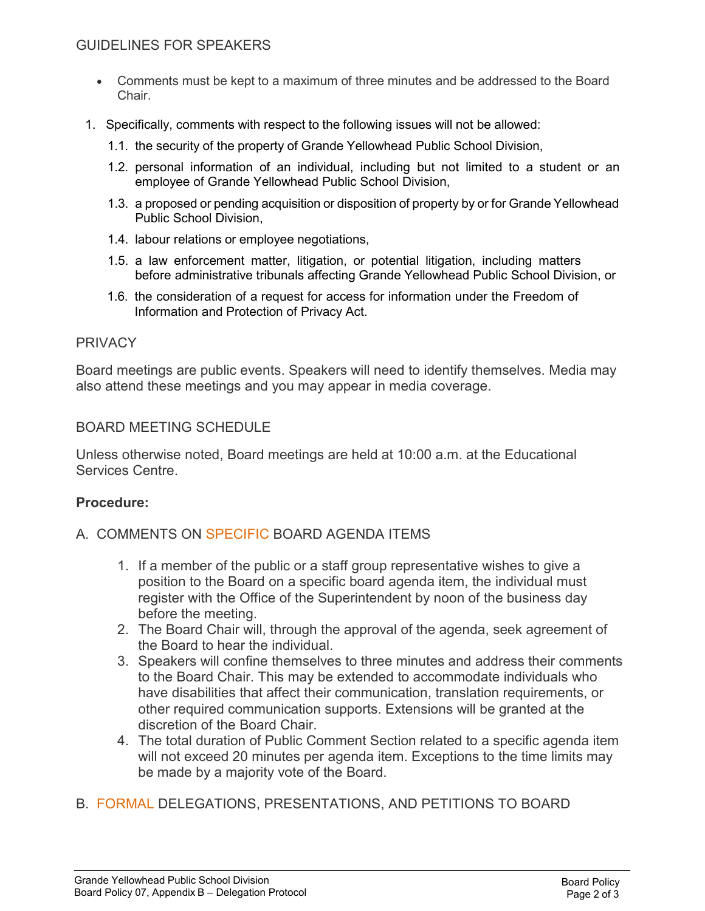- Comments must be kept to a maximum of three minutes and be addressed to the Board Chair.
- 1. Specifically, comments with respect to the following issues will not be allowed:
	- 1.1. the security of the property of Grande Yellowhead Public School Division,
	- 1.2. personal information of an individual, including but not limited to a student or an employee of Grande Yellowhead Public School Division,
	- 1.3. a proposed or pending acquisition or disposition of property by or for Grande Yellowhead Public School Division,
	- 1.4. labour relations or employee negotiations,
	- 1.5. a law enforcement matter, litigation, or potential litigation, including matters before administrative tribunals affecting Grande Yellowhead Public School Division, or
	- 1.6. the consideration of a request for access for information under the Freedom of Information and Protection of Privacy Act.

### PRIVACY

Board meetings are public events. Speakers will need to identify themselves. Media may also attend these meetings and you may appear in media coverage.

### BOARD MEETING SCHEDULE

Unless otherwise noted, Board meetings are held at 10:00 a.m. at the Educational Services Centre.

#### **Procedure:**

### A. COMMENTS ON SPECIFIC BOARD AGENDA ITEMS

- 1. If a member of the public or a staff group representative wishes to give a position to the Board on a specific board agenda item, the individual must register with the Office of the Superintendent by noon of the business day before the meeting.
- 2. The Board Chair will, through the approval of the agenda, seek agreement of the Board to hear the individual.
- 3. Speakers will confine themselves to three minutes and address their comments to the Board Chair. This may be extended to accommodate individuals who have disabilities that affect their communication, translation requirements, or other required communication supports. Extensions will be granted at the discretion of the Board Chair.
- 4. The total duration of Public Comment Section related to a specific agenda item will not exceed 20 minutes per agenda item. Exceptions to the time limits may be made by a majority vote of the Board.
- B. FORMAL DELEGATIONS, PRESENTATIONS, AND PETITIONS TO BOARD